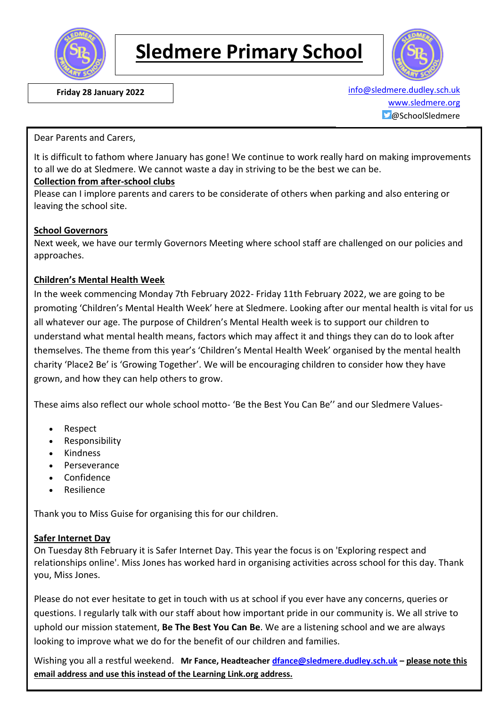

# **Sledmere Primary School**



 **Friday 28 January 2022** [info@sledmere.dudley.sch.uk](mailto:info@sledmere.dudley.sch.uk) [www.sledmere.org](http://www.sledmere.org/)  $\Box$ @SchoolSledmere

Dear Parents and Carers,

It is difficult to fathom where January has gone! We continue to work really hard on making improvements to all we do at Sledmere. We cannot waste a day in striving to be the best we can be.

### **Collection from after-school clubs**

Please can I implore parents and carers to be considerate of others when parking and also entering or leaving the school site.

#### **School Governors**

Next week, we have our termly Governors Meeting where school staff are challenged on our policies and approaches.

### **Children's Mental Health Week**

In the week commencing Monday 7th February 2022- Friday 11th February 2022, we are going to be promoting 'Children's Mental Health Week' here at Sledmere. Looking after our mental health is vital for us all whatever our age. The purpose of Children's Mental Health week is to support our children to understand what mental health means, factors which may affect it and things they can do to look after themselves. The theme from this year's 'Children's Mental Health Week' organised by the mental health charity 'Place2 Be' is 'Growing Together'. We will be encouraging children to consider how they have grown, and how they can help others to grow.

These aims also reflect our whole school motto- 'Be the Best You Can Be'' and our Sledmere Values-

- Respect
- Responsibility
- Kindness
- Perseverance
- Confidence
- Resilience

Thank you to Miss Guise for organising this for our children.

#### **Safer Internet Day**

On Tuesday 8th February it is Safer Internet Day. This year the focus is on 'Exploring respect and relationships online'. Miss Jones has worked hard in organising activities across school for this day. Thank you, Miss Jones.

Please do not ever hesitate to get in touch with us at school if you ever have any concerns, queries or questions. I regularly talk with our staff about how important pride in our community is. We all strive to uphold our mission statement, **Be The Best You Can Be**. We are a listening school and we are always looking to improve what we do for the benefit of our children and families.

Wishing you all a restful weekend. **Mr Fance, Headteacher [dfance@sledmere.dudley.sch.uk](mailto:dfance@sledmere.dudley.sch.uk) – please note this email address and use this instead of the Learning Link.org address.**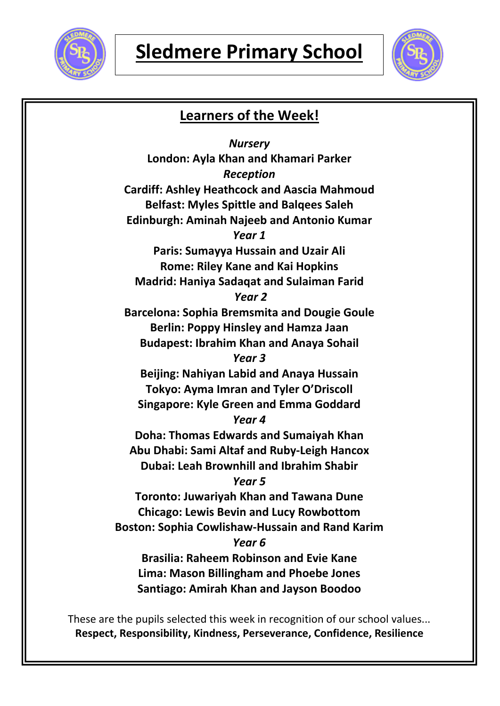



# **Learners of the Week!**

*Nursery* **London: Ayla Khan and Khamari Parker** *Reception* **Cardiff: Ashley Heathcock and Aascia Mahmoud Belfast: Myles Spittle and Balqees Saleh Edinburgh: Aminah Najeeb and Antonio Kumar** *Year 1* **Paris: Sumayya Hussain and Uzair Ali Rome: Riley Kane and Kai Hopkins Madrid: Haniya Sadaqat and Sulaiman Farid** *Year 2* **Barcelona: Sophia Bremsmita and Dougie Goule Berlin: Poppy Hinsley and Hamza Jaan Budapest: Ibrahim Khan and Anaya Sohail** *Year 3* **Beijing: Nahiyan Labid and Anaya Hussain Tokyo: Ayma Imran and Tyler O'Driscoll Singapore: Kyle Green and Emma Goddard** *Year 4* **Doha: Thomas Edwards and Sumaiyah Khan Abu Dhabi: Sami Altaf and Ruby-Leigh Hancox Dubai: Leah Brownhill and Ibrahim Shabir** *Year 5* **Toronto: Juwariyah Khan and Tawana Dune Chicago: Lewis Bevin and Lucy Rowbottom Boston: Sophia Cowlishaw-Hussain and Rand Karim** *Year 6* **Brasilia: Raheem Robinson and Evie Kane Lima: Mason Billingham and Phoebe Jones Santiago: Amirah Khan and Jayson Boodoo**

These are the pupils selected this week in recognition of our school values... **Respect, Responsibility, Kindness, Perseverance, Confidence, Resilience**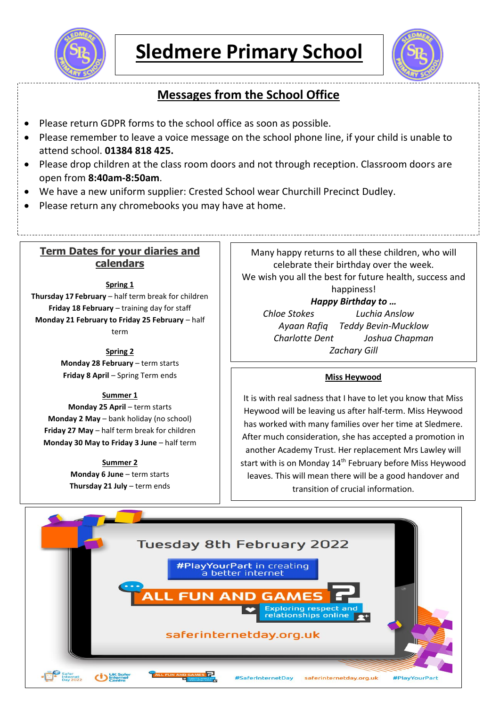



# **Messages from the School Office**

- Please return GDPR forms to the school office as soon as possible.
- Please remember to leave a voice message on the school phone line, if your child is unable to attend school. **01384 818 425.**
- Please drop children at the class room doors and not through reception. Classroom doors are open from **8:40am-8:50am**.
- We have a new uniform supplier: Crested School wear Churchill Precinct Dudley.
- Please return any chromebooks you may have at home.

# **Term Dates for your diaries and calendars**

**Spring 1**

**Thursday 17 February** – half term break for children **Friday 18 February** – training day for staff **Monday 21 February to Friday 25 February** – half term

> **Spring 2 Monday 28 February** – term starts **Friday 8 April** – Spring Term ends

### **Summer 1**

**Monday 25 April** – term starts **Monday 2 May** – bank holiday (no school) **Friday 27 May** – half term break for children **Monday 30 May to Friday 3 June** – half term

**Summer 2**

**Monday 6 June** – term starts **Thursday 21 July** – term ends

Many happy returns to all these children, who will celebrate their birthday over the week. We wish you all the best for future health, success and happiness!

## *Happy Birthday to …*

*Chloe Stokes Luchia Anslow Ayaan Rafiq Teddy Bevin-Mucklow Charlotte Dent Joshua Chapman Zachary Gill*

## **Miss Heywood**

It is with real sadness that I have to let you know that Miss Heywood will be leaving us after half-term. Miss Heywood has worked with many families over her time at Sledmere. After much consideration, she has accepted a promotion in another Academy Trust. Her replacement Mrs Lawley will start with is on Monday 14<sup>th</sup> February before Miss Heywood leaves. This will mean there will be a good handover and transition of crucial information.